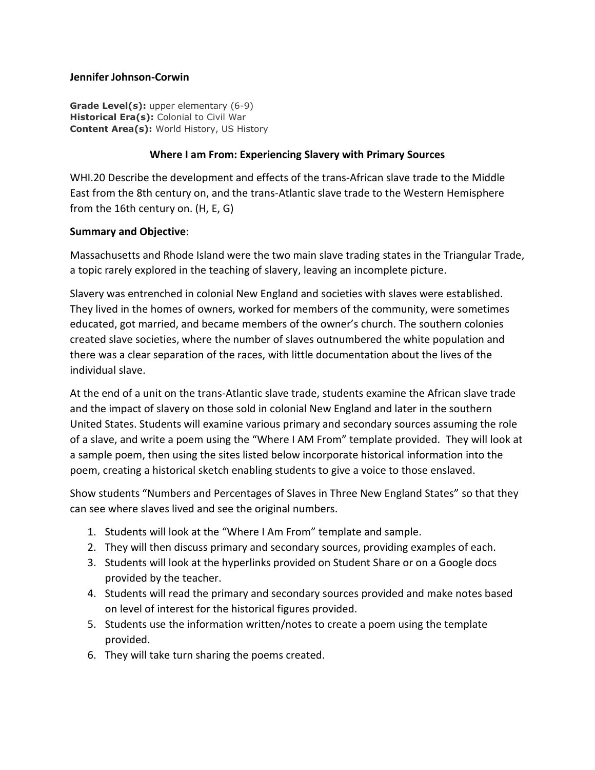## **Jennifer Johnson-Corwin**

**Grade Level(s):** upper elementary (6-9) **Historical Era(s):** Colonial to Civil War **Content Area(s):** World History, US History

## **Where I am From: Experiencing Slavery with Primary Sources**

WHI.20 Describe the development and effects of the trans-African slave trade to the Middle East from the 8th century on, and the trans-Atlantic slave trade to the Western Hemisphere from the 16th century on. (H, E, G)

## **Summary and Objective**:

Massachusetts and Rhode Island were the two main slave trading states in the Triangular Trade, a topic rarely explored in the teaching of slavery, leaving an incomplete picture.

Slavery was entrenched in colonial New England and societies with slaves were established. They lived in the homes of owners, worked for members of the community, were sometimes educated, got married, and became members of the owner's church. The southern colonies created slave societies, where the number of slaves outnumbered the white population and there was a clear separation of the races, with little documentation about the lives of the individual slave.

At the end of a unit on the trans-Atlantic slave trade, students examine the African slave trade and the impact of slavery on those sold in colonial New England and later in the southern United States. Students will examine various primary and secondary sources assuming the role of a slave, and write a poem using the "Where I AM From" template provided. They will look at a sample poem, then using the sites listed below incorporate historical information into the poem, creating a historical sketch enabling students to give a voice to those enslaved.

Show students "Numbers and Percentages of Slaves in Three New England States" so that they can see where slaves lived and see the original numbers.

- 1. Students will look at the "Where I Am From" template and sample.
- 2. They will then discuss primary and secondary sources, providing examples of each.
- 3. Students will look at the hyperlinks provided on Student Share or on a Google docs provided by the teacher.
- 4. Students will read the primary and secondary sources provided and make notes based on level of interest for the historical figures provided.
- 5. Students use the information written/notes to create a poem using the template provided.
- 6. They will take turn sharing the poems created.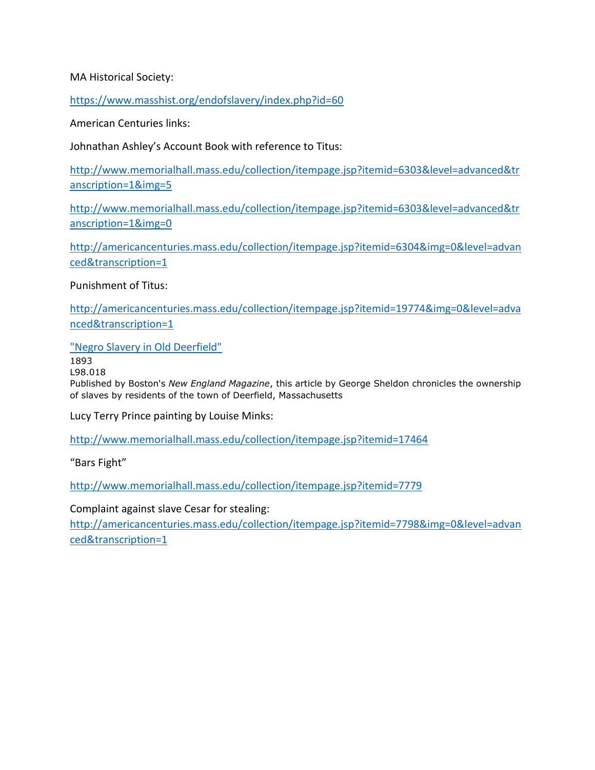## MA Historical Society:

<https://www.masshist.org/endofslavery/index.php?id=60>

American Centuries links:

Johnathan Ashley's Account Book with reference to Titus:

[http://www.memorialhall.mass.edu/collection/itempage.jsp?itemid=6303&level=advanced&tr](http://www.memorialhall.mass.edu/collection/itempage.jsp?itemid=6303&level=advanced&transcription=1&img=5) [anscription=1&img=5](http://www.memorialhall.mass.edu/collection/itempage.jsp?itemid=6303&level=advanced&transcription=1&img=5)

[http://www.memorialhall.mass.edu/collection/itempage.jsp?itemid=6303&level=advanced&tr](http://www.memorialhall.mass.edu/collection/itempage.jsp?itemid=6303&level=advanced&transcription=1&img=0) [anscription=1&img=0](http://www.memorialhall.mass.edu/collection/itempage.jsp?itemid=6303&level=advanced&transcription=1&img=0)

[http://americancenturies.mass.edu/collection/itempage.jsp?itemid=6304&img=0&level=advan](http://americancenturies.mass.edu/collection/itempage.jsp?itemid=6304&img=0&level=advanced&transcription=1) [ced&transcription=1](http://americancenturies.mass.edu/collection/itempage.jsp?itemid=6304&img=0&level=advanced&transcription=1)

Punishment of Titus:

[http://americancenturies.mass.edu/collection/itempage.jsp?itemid=19774&img=0&level=adva](http://americancenturies.mass.edu/collection/itempage.jsp?itemid=19774&img=0&level=advanced&transcription=1) [nced&transcription=1](http://americancenturies.mass.edu/collection/itempage.jsp?itemid=19774&img=0&level=advanced&transcription=1)

["Negro Slavery in Old Deerfield"](http://www.memorialhall.mass.edu/collection/itempage.jsp?itemid=5722)

1893

L98.018

Published by Boston's *New England Magazine*, this article by George Sheldon chronicles the ownership of slaves by residents of the town of Deerfield, Massachusetts

Lucy Terry Prince painting by Louise Minks:

<http://www.memorialhall.mass.edu/collection/itempage.jsp?itemid=17464>

"Bars Fight"

<http://www.memorialhall.mass.edu/collection/itempage.jsp?itemid=7779>

Complaint against slave Cesar for stealing:

[http://americancenturies.mass.edu/collection/itempage.jsp?itemid=7798&img=0&level=advan](http://americancenturies.mass.edu/collection/itempage.jsp?itemid=7798&img=0&level=advanced&transcription=1) [ced&transcription=1](http://americancenturies.mass.edu/collection/itempage.jsp?itemid=7798&img=0&level=advanced&transcription=1)